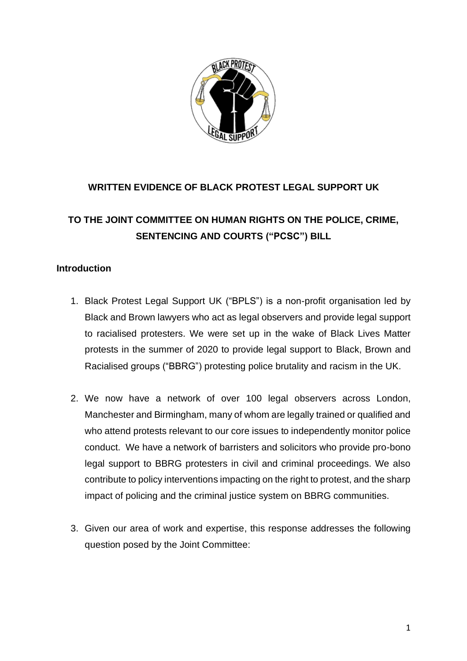

### **WRITTEN EVIDENCE OF BLACK PROTEST LEGAL SUPPORT UK**

# **TO THE JOINT COMMITTEE ON HUMAN RIGHTS ON THE POLICE, CRIME, SENTENCING AND COURTS ("PCSC") BILL**

#### **Introduction**

- 1. Black Protest Legal Support UK ("BPLS") is a non-profit organisation led by Black and Brown lawyers who act as legal observers and provide legal support to racialised protesters. We were set up in the wake of Black Lives Matter protests in the summer of 2020 to provide legal support to Black, Brown and Racialised groups ("BBRG") protesting police brutality and racism in the UK.
- 2. We now have a network of over 100 legal observers across London, Manchester and Birmingham, many of whom are legally trained or qualified and who attend protests relevant to our core issues to independently monitor police conduct. We have a network of barristers and solicitors who provide pro-bono legal support to BBRG protesters in civil and criminal proceedings. We also contribute to policy interventions impacting on the right to protest, and the sharp impact of policing and the criminal justice system on BBRG communities.
- 3. Given our area of work and expertise, this response addresses the following question posed by the Joint Committee: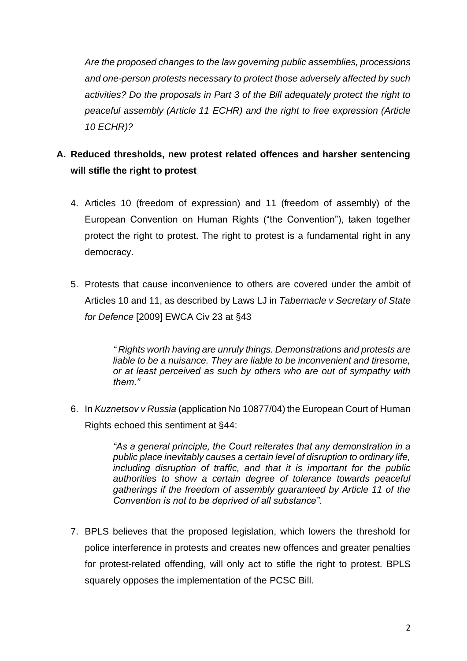*Are the proposed changes to the law governing public assemblies, processions and one-person protests necessary to protect those adversely affected by such activities? Do the proposals in Part 3 of the Bill adequately protect the right to peaceful assembly (Article 11 ECHR) and the right to free expression (Article 10 ECHR)?*

# **A. Reduced thresholds, new protest related offences and harsher sentencing will stifle the right to protest**

- 4. Articles 10 (freedom of expression) and 11 (freedom of assembly) of the European Convention on Human Rights ("the Convention"), taken together protect the right to protest. The right to protest is a fundamental right in any democracy.
- 5. Protests that cause inconvenience to others are covered under the ambit of Articles 10 and 11, as described by Laws LJ in *Tabernacle v Secretary of State for Defence* [2009] EWCA Civ 23 at §43

*" Rights worth having are unruly things. Demonstrations and protests are liable to be a nuisance. They are liable to be inconvenient and tiresome, or at least perceived as such by others who are out of sympathy with them."* 

6. In *Kuznetsov v Russia* (application No 10877/04) the European Court of Human Rights echoed this sentiment at §44:

> *"As a general principle, the Court reiterates that any demonstration in a public place inevitably causes a certain level of disruption to ordinary life, including disruption of traffic, and that it is important for the public authorities to show a certain degree of tolerance towards peaceful gatherings if the freedom of assembly guaranteed by Article 11 of the Convention is not to be deprived of all substance".*

7. BPLS believes that the proposed legislation, which lowers the threshold for police interference in protests and creates new offences and greater penalties for protest-related offending, will only act to stifle the right to protest. BPLS squarely opposes the implementation of the PCSC Bill.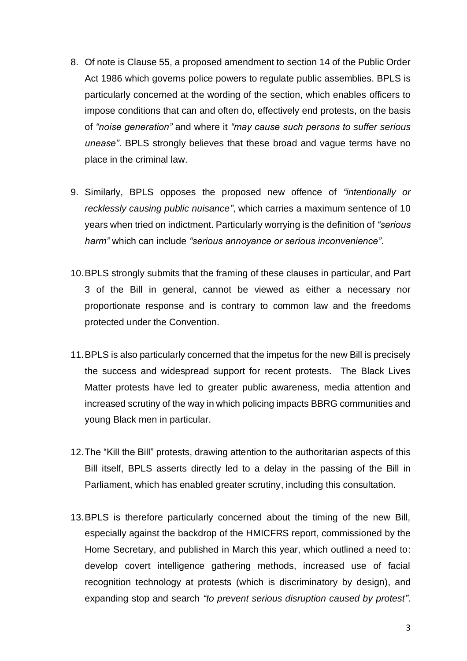- 8. Of note is Clause 55, a proposed amendment to section 14 of the Public Order Act 1986 which governs police powers to regulate public assemblies. BPLS is particularly concerned at the wording of the section, which enables officers to impose conditions that can and often do, effectively end protests, on the basis of *"noise generation"* and where it *"may cause such persons to suffer serious unease"*. BPLS strongly believes that these broad and vague terms have no place in the criminal law.
- 9. Similarly, BPLS opposes the proposed new offence of *"intentionally or recklessly causing public nuisance"*, which carries a maximum sentence of 10 years when tried on indictment. Particularly worrying is the definition of *"serious harm"* which can include *"serious annoyance or serious inconvenience"*.
- 10.BPLS strongly submits that the framing of these clauses in particular, and Part 3 of the Bill in general, cannot be viewed as either a necessary nor proportionate response and is contrary to common law and the freedoms protected under the Convention.
- 11.BPLS is also particularly concerned that the impetus for the new Bill is precisely the success and widespread support for recent protests. The Black Lives Matter protests have led to greater public awareness, media attention and increased scrutiny of the way in which policing impacts BBRG communities and young Black men in particular.
- 12.The "Kill the Bill" protests, drawing attention to the authoritarian aspects of this Bill itself, BPLS asserts directly led to a delay in the passing of the Bill in Parliament, which has enabled greater scrutiny, including this consultation.
- 13.BPLS is therefore particularly concerned about the timing of the new Bill, especially against the backdrop of the HMICFRS report, commissioned by the Home Secretary, and published in March this year, which outlined a need to: develop covert intelligence gathering methods, increased use of facial recognition technology at protests (which is discriminatory by design), and expanding stop and search *"to prevent serious disruption caused by protest"*.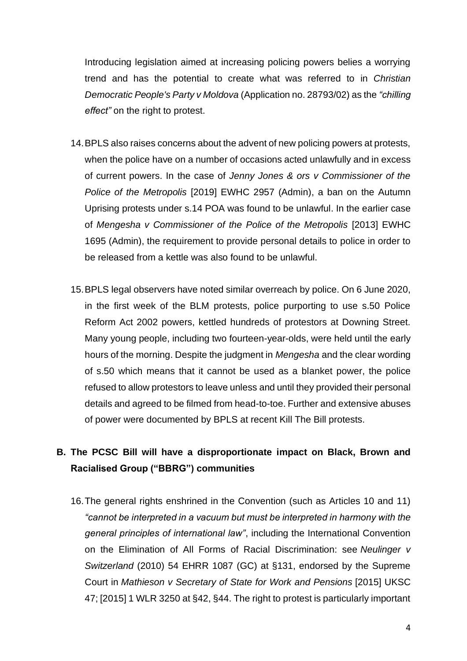Introducing legislation aimed at increasing policing powers belies a worrying trend and has the potential to create what was referred to in *Christian Democratic People's Party v Moldova* (Application no. 28793/02) as the *"chilling effect"* on the right to protest.

- 14.BPLS also raises concerns about the advent of new policing powers at protests, when the police have on a number of occasions acted unlawfully and in excess of current powers. In the case of *Jenny Jones & ors v Commissioner of the Police of the Metropolis* [2019] EWHC 2957 (Admin), a ban on the Autumn Uprising protests under s.14 POA was found to be unlawful. In the earlier case of *Mengesha v Commissioner of the Police of the Metropolis* [2013] EWHC 1695 (Admin), the requirement to provide personal details to police in order to be released from a kettle was also found to be unlawful.
- 15.BPLS legal observers have noted similar overreach by police. On 6 June 2020, in the first week of the BLM protests, police purporting to use s.50 Police Reform Act 2002 powers, kettled hundreds of protestors at Downing Street. Many young people, including two fourteen-year-olds, were held until the early hours of the morning. Despite the judgment in *Mengesha* and the clear wording of s.50 which means that it cannot be used as a blanket power, the police refused to allow protestors to leave unless and until they provided their personal details and agreed to be filmed from head-to-toe. Further and extensive abuses of power were documented by BPLS at recent Kill The Bill protests.

### **B. The PCSC Bill will have a disproportionate impact on Black, Brown and Racialised Group ("BBRG") communities**

16.The general rights enshrined in the Convention (such as Articles 10 and 11) *"cannot be interpreted in a vacuum but must be interpreted in harmony with the general principles of international law"*, including the International Convention on the Elimination of All Forms of Racial Discrimination: see *Neulinger v Switzerland* (2010) 54 EHRR 1087 (GC) at §131, endorsed by the Supreme Court in *Mathieson v Secretary of State for Work and Pensions* [2015] UKSC 47; [2015] 1 WLR 3250 at §42, §44. The right to protest is particularly important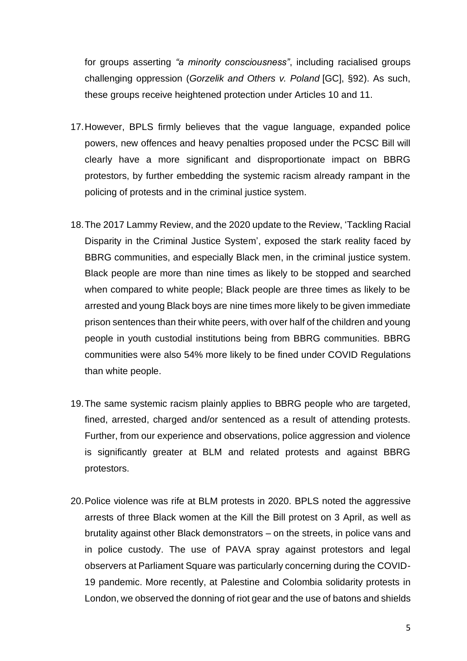for groups asserting *"a minority consciousness"*, including racialised groups challenging oppression (*Gorzelik and Others v. Poland* [GC], §92). As such, these groups receive heightened protection under Articles 10 and 11.

- 17.However, BPLS firmly believes that the vague language, expanded police powers, new offences and heavy penalties proposed under the PCSC Bill will clearly have a more significant and disproportionate impact on BBRG protestors, by further embedding the systemic racism already rampant in the policing of protests and in the criminal justice system.
- 18.The 2017 Lammy Review, and the 2020 update to the Review, 'Tackling Racial Disparity in the Criminal Justice System', exposed the stark reality faced by BBRG communities, and especially Black men, in the criminal justice system. Black people are more than nine times as likely to be stopped and searched when compared to white people; Black people are three times as likely to be arrested and young Black boys are nine times more likely to be given immediate prison sentences than their white peers, with over half of the children and young people in youth custodial institutions being from BBRG communities. BBRG communities were also 54% more likely to be fined under COVID Regulations than white people.
- 19.The same systemic racism plainly applies to BBRG people who are targeted, fined, arrested, charged and/or sentenced as a result of attending protests. Further, from our experience and observations, police aggression and violence is significantly greater at BLM and related protests and against BBRG protestors.
- 20.Police violence was rife at BLM protests in 2020. BPLS noted the aggressive arrests of three Black women at the Kill the Bill protest on 3 April, as well as brutality against other Black demonstrators – on the streets, in police vans and in police custody. The use of PAVA spray against protestors and legal observers at Parliament Square was particularly concerning during the COVID-19 pandemic. More recently, at Palestine and Colombia solidarity protests in London, we observed the donning of riot gear and the use of batons and shields